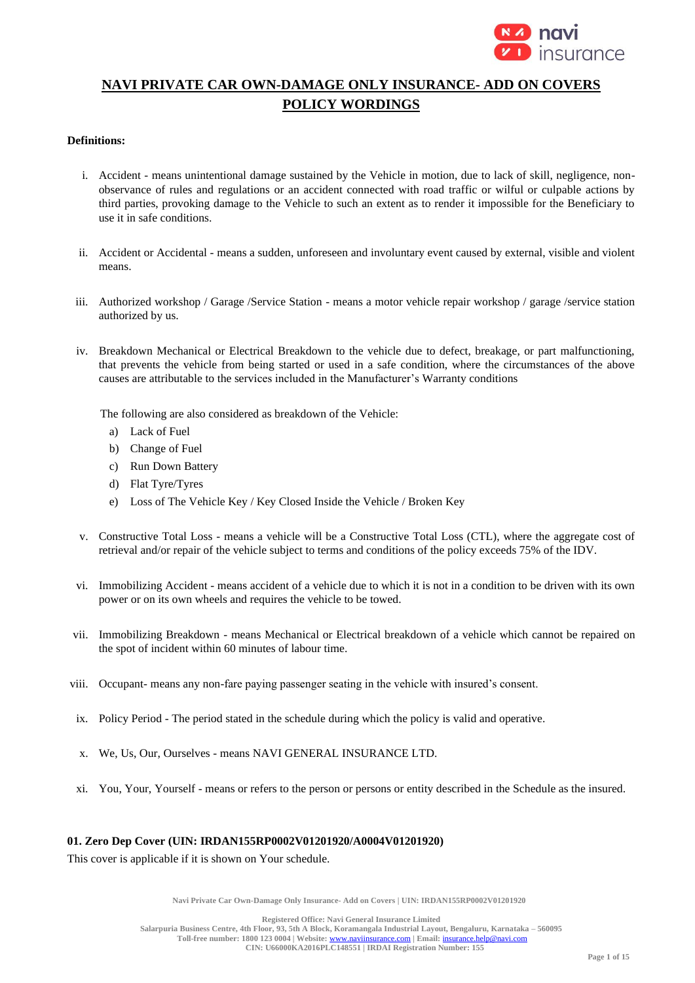

# **NAVI PRIVATE CAR OWN-DAMAGE ONLY INSURANCE- ADD ON COVERS POLICY WORDINGS**

#### **Definitions:**

- i. Accident means unintentional damage sustained by the Vehicle in motion, due to lack of skill, negligence, nonobservance of rules and regulations or an accident connected with road traffic or wilful or culpable actions by third parties, provoking damage to the Vehicle to such an extent as to render it impossible for the Beneficiary to use it in safe conditions.
- ii. Accident or Accidental means a sudden, unforeseen and involuntary event caused by external, visible and violent means.
- iii. Authorized workshop / Garage /Service Station means a motor vehicle repair workshop / garage /service station authorized by us.
- iv. Breakdown Mechanical or Electrical Breakdown to the vehicle due to defect, breakage, or part malfunctioning, that prevents the vehicle from being started or used in a safe condition, where the circumstances of the above causes are attributable to the services included in the Manufacturer's Warranty conditions

The following are also considered as breakdown of the Vehicle:

- a) Lack of Fuel
- b) Change of Fuel
- c) Run Down Battery
- d) Flat Tyre/Tyres
- e) Loss of The Vehicle Key / Key Closed Inside the Vehicle / Broken Key
- v. Constructive Total Loss means a vehicle will be a Constructive Total Loss (CTL), where the aggregate cost of retrieval and/or repair of the vehicle subject to terms and conditions of the policy exceeds 75% of the IDV.
- vi. Immobilizing Accident means accident of a vehicle due to which it is not in a condition to be driven with its own power or on its own wheels and requires the vehicle to be towed.
- vii. Immobilizing Breakdown means Mechanical or Electrical breakdown of a vehicle which cannot be repaired on the spot of incident within 60 minutes of labour time.
- viii. Occupant- means any non-fare paying passenger seating in the vehicle with insured's consent.
- ix. Policy Period The period stated in the schedule during which the policy is valid and operative.
- x. We, Us, Our, Ourselves means NAVI GENERAL INSURANCE LTD.
- xi. You, Your, Yourself means or refers to the person or persons or entity described in the Schedule as the insured.

#### **01. Zero Dep Cover (UIN: IRDAN155RP0002V01201920/A0004V01201920)**

This cover is applicable if it is shown on Your schedule.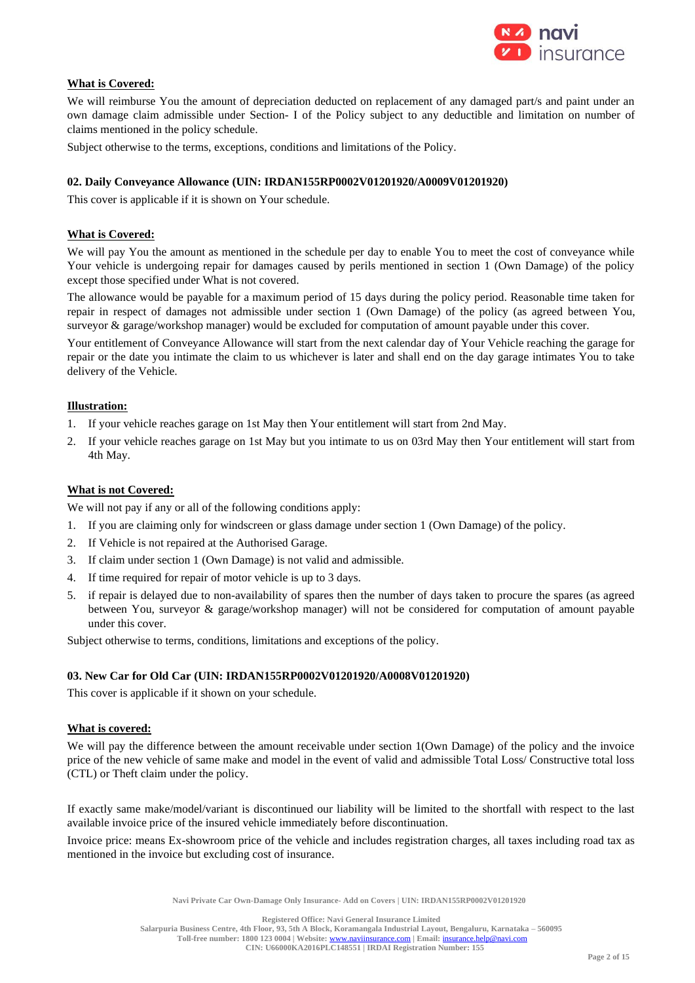

### **What is Covered:**

We will reimburse You the amount of depreciation deducted on replacement of any damaged part/s and paint under an own damage claim admissible under Section- I of the Policy subject to any deductible and limitation on number of claims mentioned in the policy schedule.

Subject otherwise to the terms, exceptions, conditions and limitations of the Policy.

#### **02. Daily Conveyance Allowance (UIN: IRDAN155RP0002V01201920/A0009V01201920)**

This cover is applicable if it is shown on Your schedule.

#### **What is Covered:**

We will pay You the amount as mentioned in the schedule per day to enable You to meet the cost of conveyance while Your vehicle is undergoing repair for damages caused by perils mentioned in section 1 (Own Damage) of the policy except those specified under What is not covered.

The allowance would be payable for a maximum period of 15 days during the policy period. Reasonable time taken for repair in respect of damages not admissible under section 1 (Own Damage) of the policy (as agreed between You, surveyor & garage/workshop manager) would be excluded for computation of amount payable under this cover.

Your entitlement of Conveyance Allowance will start from the next calendar day of Your Vehicle reaching the garage for repair or the date you intimate the claim to us whichever is later and shall end on the day garage intimates You to take delivery of the Vehicle.

#### **Illustration:**

- 1. If your vehicle reaches garage on 1st May then Your entitlement will start from 2nd May.
- 2. If your vehicle reaches garage on 1st May but you intimate to us on 03rd May then Your entitlement will start from 4th May.

#### **What is not Covered:**

We will not pay if any or all of the following conditions apply:

- 1. If you are claiming only for windscreen or glass damage under section 1 (Own Damage) of the policy.
- 2. If Vehicle is not repaired at the Authorised Garage.
- 3. If claim under section 1 (Own Damage) is not valid and admissible.
- 4. If time required for repair of motor vehicle is up to 3 days.
- 5. if repair is delayed due to non-availability of spares then the number of days taken to procure the spares (as agreed between You, surveyor & garage/workshop manager) will not be considered for computation of amount payable under this cover.

Subject otherwise to terms, conditions, limitations and exceptions of the policy.

#### **03. New Car for Old Car (UIN: IRDAN155RP0002V01201920/A0008V01201920)**

This cover is applicable if it shown on your schedule.

#### **What is covered:**

We will pay the difference between the amount receivable under section 1(Own Damage) of the policy and the invoice price of the new vehicle of same make and model in the event of valid and admissible Total Loss/ Constructive total loss (CTL) or Theft claim under the policy.

If exactly same make/model/variant is discontinued our liability will be limited to the shortfall with respect to the last available invoice price of the insured vehicle immediately before discontinuation.

Invoice price: means Ex-showroom price of the vehicle and includes registration charges, all taxes including road tax as mentioned in the invoice but excluding cost of insurance.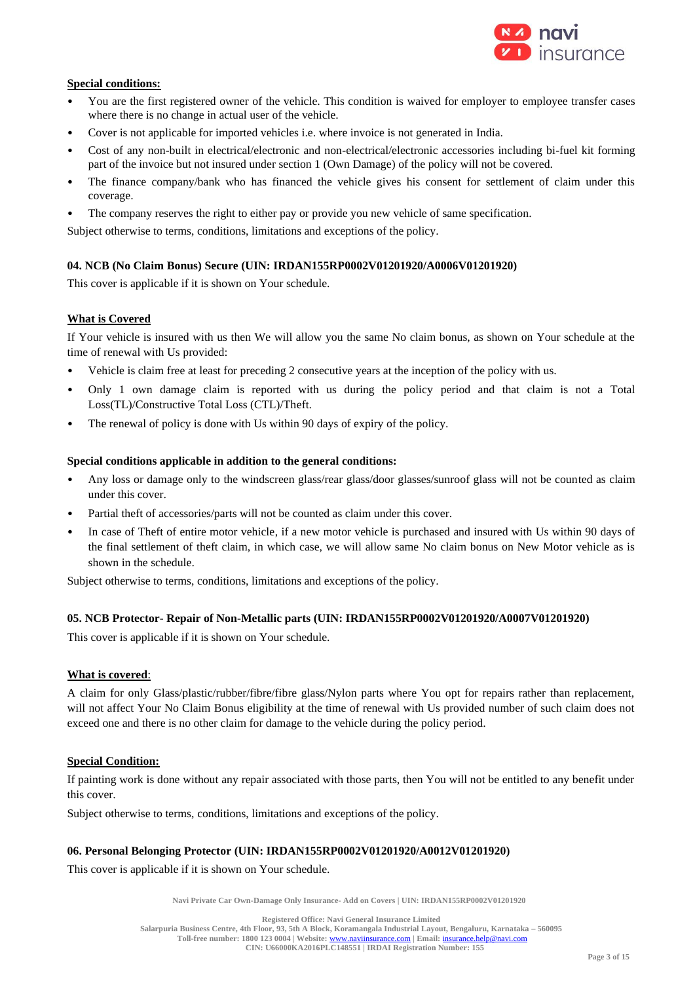

### **Special conditions:**

- You are the first registered owner of the vehicle. This condition is waived for employer to employee transfer cases where there is no change in actual user of the vehicle.
- Cover is not applicable for imported vehicles i.e. where invoice is not generated in India.
- Cost of any non-built in electrical/electronic and non-electrical/electronic accessories including bi-fuel kit forming part of the invoice but not insured under section 1 (Own Damage) of the policy will not be covered.
- The finance company/bank who has financed the vehicle gives his consent for settlement of claim under this coverage.
- The company reserves the right to either pay or provide you new vehicle of same specification.

Subject otherwise to terms, conditions, limitations and exceptions of the policy.

### **04. NCB (No Claim Bonus) Secure (UIN: IRDAN155RP0002V01201920/A0006V01201920)**

This cover is applicable if it is shown on Your schedule.

### **What is Covered**

If Your vehicle is insured with us then We will allow you the same No claim bonus, as shown on Your schedule at the time of renewal with Us provided:

- Vehicle is claim free at least for preceding 2 consecutive years at the inception of the policy with us.
- Only 1 own damage claim is reported with us during the policy period and that claim is not a Total Loss(TL)/Constructive Total Loss (CTL)/Theft.
- The renewal of policy is done with Us within 90 days of expiry of the policy.

### **Special conditions applicable in addition to the general conditions:**

- Any loss or damage only to the windscreen glass/rear glass/door glasses/sunroof glass will not be counted as claim under this cover.
- Partial theft of accessories/parts will not be counted as claim under this cover.
- In case of Theft of entire motor vehicle, if a new motor vehicle is purchased and insured with Us within 90 days of the final settlement of theft claim, in which case, we will allow same No claim bonus on New Motor vehicle as is shown in the schedule.

Subject otherwise to terms, conditions, limitations and exceptions of the policy.

### **05. NCB Protector- Repair of Non-Metallic parts (UIN: IRDAN155RP0002V01201920/A0007V01201920)**

This cover is applicable if it is shown on Your schedule.

### **What is covered**:

A claim for only Glass/plastic/rubber/fibre/fibre glass/Nylon parts where You opt for repairs rather than replacement, will not affect Your No Claim Bonus eligibility at the time of renewal with Us provided number of such claim does not exceed one and there is no other claim for damage to the vehicle during the policy period.

### **Special Condition:**

If painting work is done without any repair associated with those parts, then You will not be entitled to any benefit under this cover.

Subject otherwise to terms, conditions, limitations and exceptions of the policy.

### **06. Personal Belonging Protector (UIN: IRDAN155RP0002V01201920/A0012V01201920)**

This cover is applicable if it is shown on Your schedule.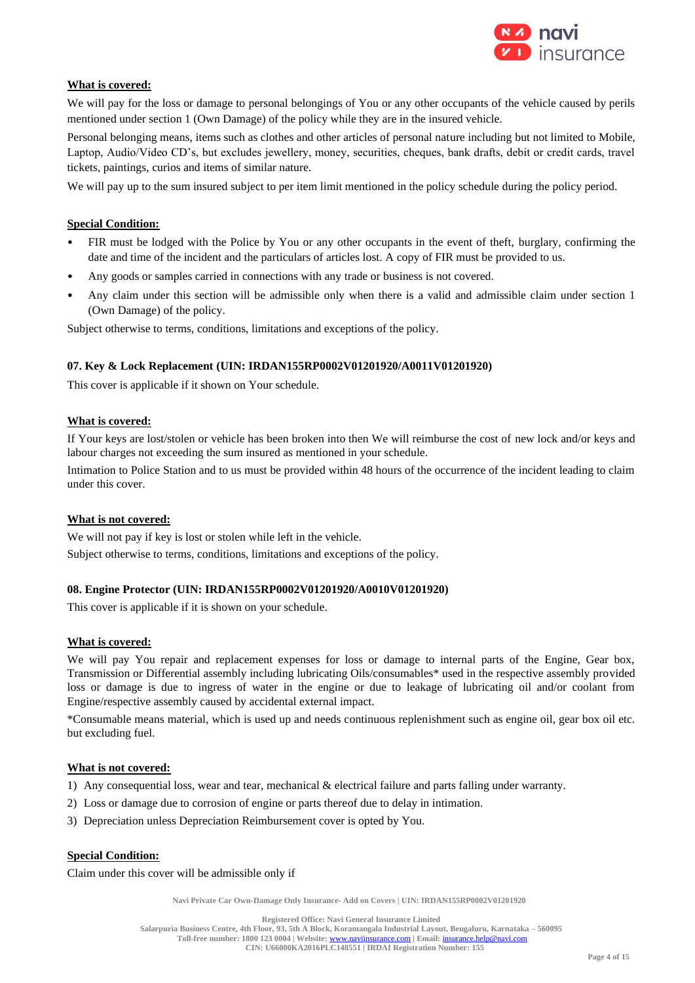

### **What is covered:**

We will pay for the loss or damage to personal belongings of You or any other occupants of the vehicle caused by perils mentioned under section 1 (Own Damage) of the policy while they are in the insured vehicle.

Personal belonging means, items such as clothes and other articles of personal nature including but not limited to Mobile, Laptop, Audio/Video CD's, but excludes jewellery, money, securities, cheques, bank drafts, debit or credit cards, travel tickets, paintings, curios and items of similar nature.

We will pay up to the sum insured subject to per item limit mentioned in the policy schedule during the policy period.

### **Special Condition:**

- FIR must be lodged with the Police by You or any other occupants in the event of theft, burglary, confirming the date and time of the incident and the particulars of articles lost. A copy of FIR must be provided to us.
- Any goods or samples carried in connections with any trade or business is not covered.
- Any claim under this section will be admissible only when there is a valid and admissible claim under section 1 (Own Damage) of the policy.

Subject otherwise to terms, conditions, limitations and exceptions of the policy.

#### **07. Key & Lock Replacement (UIN: IRDAN155RP0002V01201920/A0011V01201920)**

This cover is applicable if it shown on Your schedule.

#### **What is covered:**

If Your keys are lost/stolen or vehicle has been broken into then We will reimburse the cost of new lock and/or keys and labour charges not exceeding the sum insured as mentioned in your schedule.

Intimation to Police Station and to us must be provided within 48 hours of the occurrence of the incident leading to claim under this cover.

#### **What is not covered:**

We will not pay if key is lost or stolen while left in the vehicle. Subject otherwise to terms, conditions, limitations and exceptions of the policy.

#### **08. Engine Protector (UIN: IRDAN155RP0002V01201920/A0010V01201920)**

This cover is applicable if it is shown on your schedule.

#### **What is covered:**

We will pay You repair and replacement expenses for loss or damage to internal parts of the Engine, Gear box, Transmission or Differential assembly including lubricating Oils/consumables\* used in the respective assembly provided loss or damage is due to ingress of water in the engine or due to leakage of lubricating oil and/or coolant from Engine/respective assembly caused by accidental external impact.

\*Consumable means material, which is used up and needs continuous replenishment such as engine oil, gear box oil etc. but excluding fuel.

#### **What is not covered:**

1) Any consequential loss, wear and tear, mechanical & electrical failure and parts falling under warranty.

- 2) Loss or damage due to corrosion of engine or parts thereof due to delay in intimation.
- 3) Depreciation unless Depreciation Reimbursement cover is opted by You.

### **Special Condition:**

Claim under this cover will be admissible only if

**Navi Private Car Own-Damage Only Insurance- Add on Covers | UIN: IRDAN155RP0002V01201920**

**Registered Office: Navi General Insurance Limited Salarpuria Business Centre, 4th Floor, 93, 5th A Block, Koramangala Industrial Layout, Bengaluru, Karnataka – 560095 Toll-free number: 1800 123 0004 | Website:** [www.naviinsurance.com](http://www.naviinsurance.com/) **| Email:** [insurance.help@navi.com](mailto:insurance.help@navi.com) **CIN: U66000KA2016PLC148551 | IRDAI Registration Number: 155**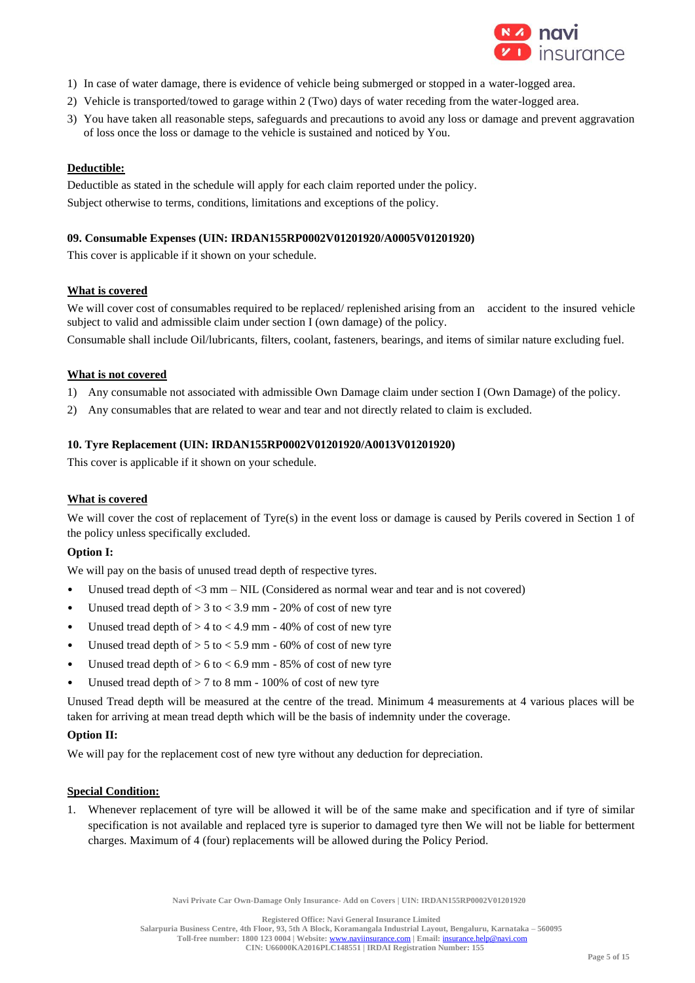

- 1) In case of water damage, there is evidence of vehicle being submerged or stopped in a water-logged area.
- 2) Vehicle is transported/towed to garage within 2 (Two) days of water receding from the water-logged area.
- 3) You have taken all reasonable steps, safeguards and precautions to avoid any loss or damage and prevent aggravation of loss once the loss or damage to the vehicle is sustained and noticed by You.

#### **Deductible:**

Deductible as stated in the schedule will apply for each claim reported under the policy. Subject otherwise to terms, conditions, limitations and exceptions of the policy.

#### **09. Consumable Expenses (UIN: IRDAN155RP0002V01201920/A0005V01201920)**

This cover is applicable if it shown on your schedule.

#### **What is covered**

We will cover cost of consumables required to be replaced/ replenished arising from an accident to the insured vehicle subject to valid and admissible claim under section I (own damage) of the policy.

Consumable shall include Oil/lubricants, filters, coolant, fasteners, bearings, and items of similar nature excluding fuel.

#### **What is not covered**

- 1) Any consumable not associated with admissible Own Damage claim under section I (Own Damage) of the policy.
- 2) Any consumables that are related to wear and tear and not directly related to claim is excluded.

#### **10. Tyre Replacement (UIN: IRDAN155RP0002V01201920/A0013V01201920)**

This cover is applicable if it shown on your schedule.

### **What is covered**

We will cover the cost of replacement of Tyre(s) in the event loss or damage is caused by Perils covered in Section 1 of the policy unless specifically excluded.

### **Option I:**

We will pay on the basis of unused tread depth of respective tyres.

- Unused tread depth of <3 mm NIL (Considered as normal wear and tear and is not covered)
- Unused tread depth of  $> 3$  to  $< 3.9$  mm 20% of cost of new tyre
- Unused tread depth of  $> 4$  to  $< 4.9$  mm 40% of cost of new tyre
- Unused tread depth of  $> 5$  to  $< 5.9$  mm 60% of cost of new tyre
- Unused tread depth of  $> 6$  to  $< 6.9$  mm 85% of cost of new tyre
- Unused tread depth of  $> 7$  to 8 mm 100% of cost of new tyre

Unused Tread depth will be measured at the centre of the tread. Minimum 4 measurements at 4 various places will be taken for arriving at mean tread depth which will be the basis of indemnity under the coverage.

#### **Option II:**

We will pay for the replacement cost of new tyre without any deduction for depreciation.

#### **Special Condition:**

1. Whenever replacement of tyre will be allowed it will be of the same make and specification and if tyre of similar specification is not available and replaced tyre is superior to damaged tyre then We will not be liable for betterment charges. Maximum of 4 (four) replacements will be allowed during the Policy Period.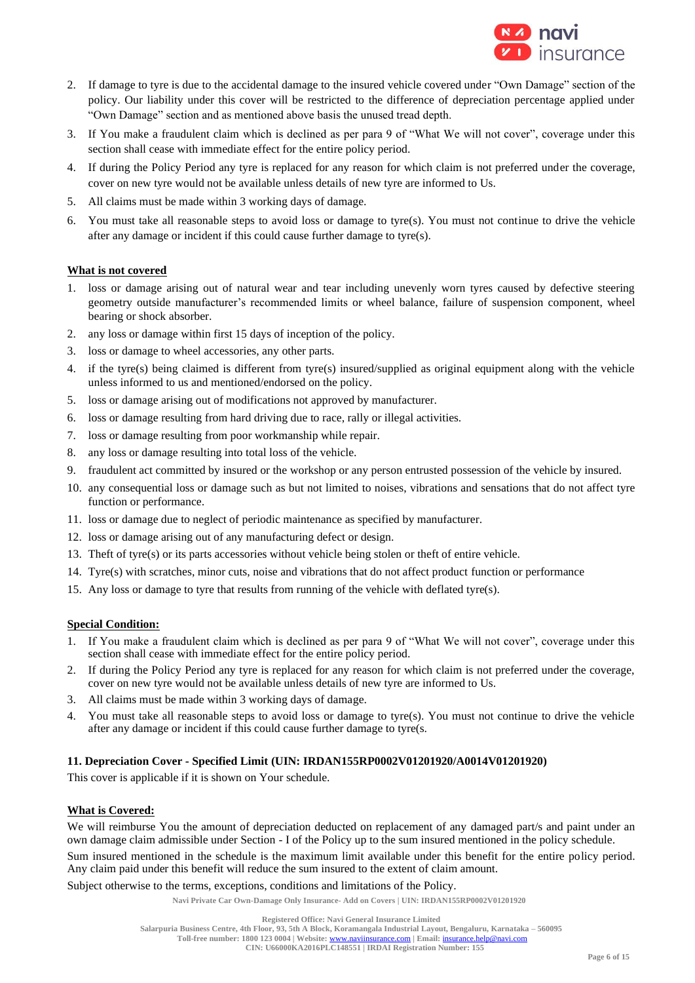

- 2. If damage to tyre is due to the accidental damage to the insured vehicle covered under "Own Damage" section of the policy. Our liability under this cover will be restricted to the difference of depreciation percentage applied under "Own Damage" section and as mentioned above basis the unused tread depth.
- 3. If You make a fraudulent claim which is declined as per para 9 of "What We will not cover", coverage under this section shall cease with immediate effect for the entire policy period.
- 4. If during the Policy Period any tyre is replaced for any reason for which claim is not preferred under the coverage, cover on new tyre would not be available unless details of new tyre are informed to Us.
- 5. All claims must be made within 3 working days of damage.
- 6. You must take all reasonable steps to avoid loss or damage to tyre(s). You must not continue to drive the vehicle after any damage or incident if this could cause further damage to tyre(s).

### **What is not covered**

- 1. loss or damage arising out of natural wear and tear including unevenly worn tyres caused by defective steering geometry outside manufacturer's recommended limits or wheel balance, failure of suspension component, wheel bearing or shock absorber.
- 2. any loss or damage within first 15 days of inception of the policy.
- 3. loss or damage to wheel accessories, any other parts.
- 4. if the tyre(s) being claimed is different from tyre(s) insured/supplied as original equipment along with the vehicle unless informed to us and mentioned/endorsed on the policy.
- 5. loss or damage arising out of modifications not approved by manufacturer.
- 6. loss or damage resulting from hard driving due to race, rally or illegal activities.
- 7. loss or damage resulting from poor workmanship while repair.
- 8. any loss or damage resulting into total loss of the vehicle.
- 9. fraudulent act committed by insured or the workshop or any person entrusted possession of the vehicle by insured.
- 10. any consequential loss or damage such as but not limited to noises, vibrations and sensations that do not affect tyre function or performance.
- 11. loss or damage due to neglect of periodic maintenance as specified by manufacturer.
- 12. loss or damage arising out of any manufacturing defect or design.
- 13. Theft of tyre(s) or its parts accessories without vehicle being stolen or theft of entire vehicle.
- 14. Tyre(s) with scratches, minor cuts, noise and vibrations that do not affect product function or performance
- 15. Any loss or damage to tyre that results from running of the vehicle with deflated tyre(s).

### **Special Condition:**

- 1. If You make a fraudulent claim which is declined as per para 9 of "What We will not cover", coverage under this section shall cease with immediate effect for the entire policy period.
- 2. If during the Policy Period any tyre is replaced for any reason for which claim is not preferred under the coverage, cover on new tyre would not be available unless details of new tyre are informed to Us.
- 3. All claims must be made within 3 working days of damage.
- 4. You must take all reasonable steps to avoid loss or damage to tyre(s). You must not continue to drive the vehicle after any damage or incident if this could cause further damage to tyre(s.

#### **11. Depreciation Cover - Specified Limit (UIN: IRDAN155RP0002V01201920/A0014V01201920)**

This cover is applicable if it is shown on Your schedule.

#### **What is Covered:**

We will reimburse You the amount of depreciation deducted on replacement of any damaged part/s and paint under an own damage claim admissible under Section - I of the Policy up to the sum insured mentioned in the policy schedule. Sum insured mentioned in the schedule is the maximum limit available under this benefit for the entire policy period.

Any claim paid under this benefit will reduce the sum insured to the extent of claim amount.

Subject otherwise to the terms, exceptions, conditions and limitations of the Policy.

**Registered Office: Navi General Insurance Limited**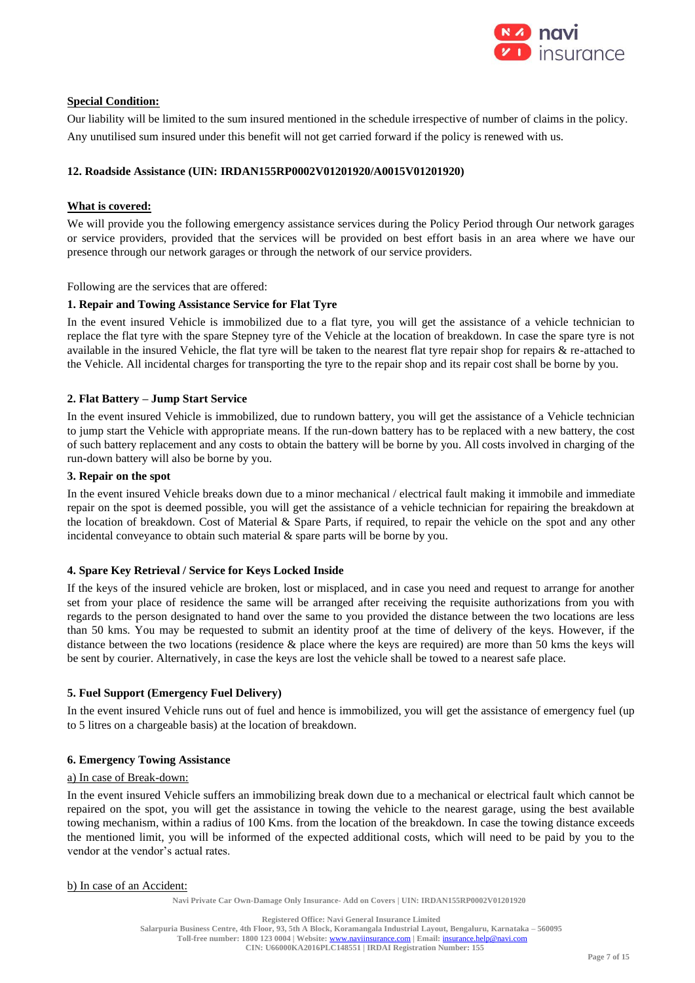

### **Special Condition:**

Our liability will be limited to the sum insured mentioned in the schedule irrespective of number of claims in the policy. Any unutilised sum insured under this benefit will not get carried forward if the policy is renewed with us.

### **12. Roadside Assistance (UIN: IRDAN155RP0002V01201920/A0015V01201920)**

### **What is covered:**

We will provide you the following emergency assistance services during the Policy Period through Our network garages or service providers, provided that the services will be provided on best effort basis in an area where we have our presence through our network garages or through the network of our service providers.

Following are the services that are offered:

### **1. Repair and Towing Assistance Service for Flat Tyre**

In the event insured Vehicle is immobilized due to a flat tyre, you will get the assistance of a vehicle technician to replace the flat tyre with the spare Stepney tyre of the Vehicle at the location of breakdown. In case the spare tyre is not available in the insured Vehicle, the flat tyre will be taken to the nearest flat tyre repair shop for repairs & re-attached to the Vehicle. All incidental charges for transporting the tyre to the repair shop and its repair cost shall be borne by you.

### **2. Flat Battery – Jump Start Service**

In the event insured Vehicle is immobilized, due to rundown battery, you will get the assistance of a Vehicle technician to jump start the Vehicle with appropriate means. If the run-down battery has to be replaced with a new battery, the cost of such battery replacement and any costs to obtain the battery will be borne by you. All costs involved in charging of the run-down battery will also be borne by you.

#### **3. Repair on the spot**

In the event insured Vehicle breaks down due to a minor mechanical / electrical fault making it immobile and immediate repair on the spot is deemed possible, you will get the assistance of a vehicle technician for repairing the breakdown at the location of breakdown. Cost of Material  $\&$  Spare Parts, if required, to repair the vehicle on the spot and any other incidental conveyance to obtain such material  $\&$  spare parts will be borne by you.

### **4. Spare Key Retrieval / Service for Keys Locked Inside**

If the keys of the insured vehicle are broken, lost or misplaced, and in case you need and request to arrange for another set from your place of residence the same will be arranged after receiving the requisite authorizations from you with regards to the person designated to hand over the same to you provided the distance between the two locations are less than 50 kms. You may be requested to submit an identity proof at the time of delivery of the keys. However, if the distance between the two locations (residence & place where the keys are required) are more than 50 kms the keys will be sent by courier. Alternatively, in case the keys are lost the vehicle shall be towed to a nearest safe place.

#### **5. Fuel Support (Emergency Fuel Delivery)**

In the event insured Vehicle runs out of fuel and hence is immobilized, you will get the assistance of emergency fuel (up to 5 litres on a chargeable basis) at the location of breakdown.

### **6. Emergency Towing Assistance**

#### a) In case of Break-down:

In the event insured Vehicle suffers an immobilizing break down due to a mechanical or electrical fault which cannot be repaired on the spot, you will get the assistance in towing the vehicle to the nearest garage, using the best available towing mechanism, within a radius of 100 Kms. from the location of the breakdown. In case the towing distance exceeds the mentioned limit, you will be informed of the expected additional costs, which will need to be paid by you to the vendor at the vendor's actual rates.

#### b) In case of an Accident: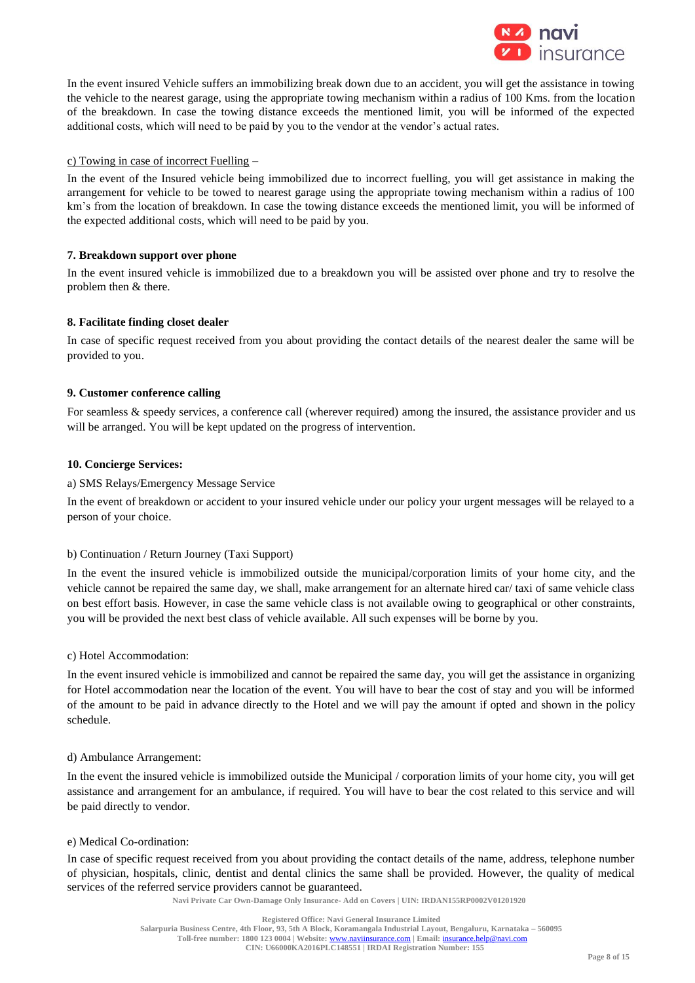

In the event insured Vehicle suffers an immobilizing break down due to an accident, you will get the assistance in towing the vehicle to the nearest garage, using the appropriate towing mechanism within a radius of 100 Kms. from the location of the breakdown. In case the towing distance exceeds the mentioned limit, you will be informed of the expected additional costs, which will need to be paid by you to the vendor at the vendor's actual rates.

### c) Towing in case of incorrect Fuelling –

In the event of the Insured vehicle being immobilized due to incorrect fuelling, you will get assistance in making the arrangement for vehicle to be towed to nearest garage using the appropriate towing mechanism within a radius of 100 km's from the location of breakdown. In case the towing distance exceeds the mentioned limit, you will be informed of the expected additional costs, which will need to be paid by you.

### **7. Breakdown support over phone**

In the event insured vehicle is immobilized due to a breakdown you will be assisted over phone and try to resolve the problem then & there.

### **8. Facilitate finding closet dealer**

In case of specific request received from you about providing the contact details of the nearest dealer the same will be provided to you.

### **9. Customer conference calling**

For seamless & speedy services, a conference call (wherever required) among the insured, the assistance provider and us will be arranged. You will be kept updated on the progress of intervention.

### **10. Concierge Services:**

### a) SMS Relays/Emergency Message Service

In the event of breakdown or accident to your insured vehicle under our policy your urgent messages will be relayed to a person of your choice.

### b) Continuation / Return Journey (Taxi Support)

In the event the insured vehicle is immobilized outside the municipal/corporation limits of your home city, and the vehicle cannot be repaired the same day, we shall, make arrangement for an alternate hired car/ taxi of same vehicle class on best effort basis. However, in case the same vehicle class is not available owing to geographical or other constraints, you will be provided the next best class of vehicle available. All such expenses will be borne by you.

### c) Hotel Accommodation:

In the event insured vehicle is immobilized and cannot be repaired the same day, you will get the assistance in organizing for Hotel accommodation near the location of the event. You will have to bear the cost of stay and you will be informed of the amount to be paid in advance directly to the Hotel and we will pay the amount if opted and shown in the policy schedule.

### d) Ambulance Arrangement:

In the event the insured vehicle is immobilized outside the Municipal / corporation limits of your home city, you will get assistance and arrangement for an ambulance, if required. You will have to bear the cost related to this service and will be paid directly to vendor.

### e) Medical Co-ordination:

In case of specific request received from you about providing the contact details of the name, address, telephone number of physician, hospitals, clinic, dentist and dental clinics the same shall be provided. However, the quality of medical services of the referred service providers cannot be guaranteed.

**Navi Private Car Own-Damage Only Insurance- Add on Covers | UIN: IRDAN155RP0002V01201920**

**Registered Office: Navi General Insurance Limited**

**Toll-free number: 1800 123 0004 | Website:** [www.naviinsurance.com](http://www.naviinsurance.com/) **| Email:** [insurance.help@navi.com](mailto:insurance.help@navi.com) **CIN: U66000KA2016PLC148551 | IRDAI Registration Number: 155**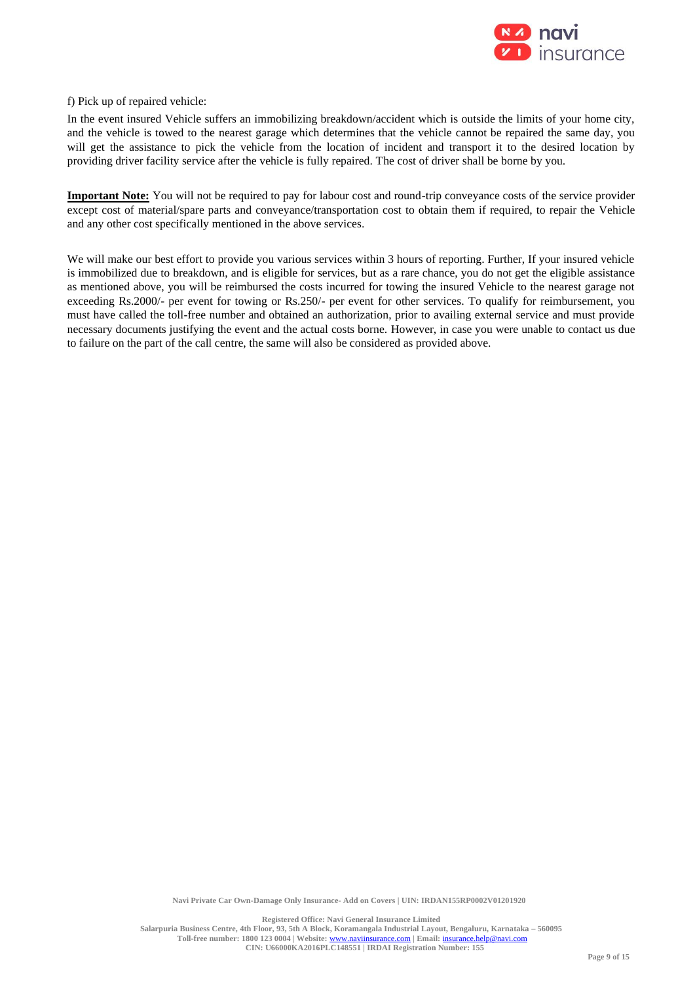

f) Pick up of repaired vehicle:

In the event insured Vehicle suffers an immobilizing breakdown/accident which is outside the limits of your home city, and the vehicle is towed to the nearest garage which determines that the vehicle cannot be repaired the same day, you will get the assistance to pick the vehicle from the location of incident and transport it to the desired location by providing driver facility service after the vehicle is fully repaired. The cost of driver shall be borne by you.

**Important Note:** You will not be required to pay for labour cost and round-trip conveyance costs of the service provider except cost of material/spare parts and conveyance/transportation cost to obtain them if required, to repair the Vehicle and any other cost specifically mentioned in the above services.

We will make our best effort to provide you various services within 3 hours of reporting. Further, If your insured vehicle is immobilized due to breakdown, and is eligible for services, but as a rare chance, you do not get the eligible assistance as mentioned above, you will be reimbursed the costs incurred for towing the insured Vehicle to the nearest garage not exceeding Rs.2000/- per event for towing or Rs.250/- per event for other services. To qualify for reimbursement, you must have called the toll-free number and obtained an authorization, prior to availing external service and must provide necessary documents justifying the event and the actual costs borne. However, in case you were unable to contact us due to failure on the part of the call centre, the same will also be considered as provided above.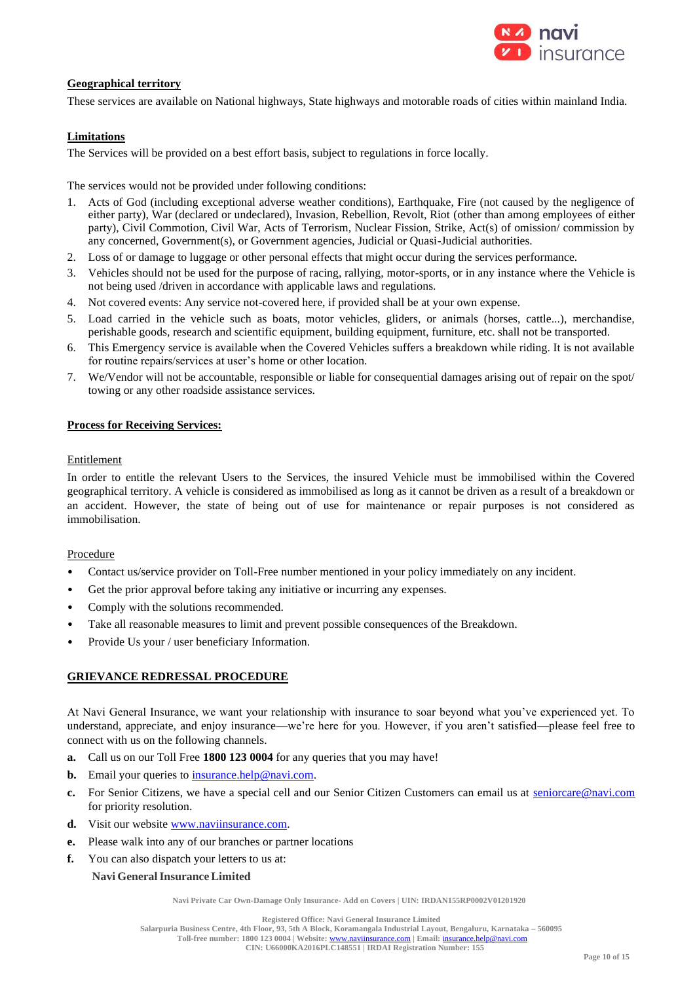

#### **Geographical territory**

These services are available on National highways, State highways and motorable roads of cities within mainland India.

#### **Limitations**

The Services will be provided on a best effort basis, subject to regulations in force locally.

The services would not be provided under following conditions:

- 1. Acts of God (including exceptional adverse weather conditions), Earthquake, Fire (not caused by the negligence of either party), War (declared or undeclared), Invasion, Rebellion, Revolt, Riot (other than among employees of either party), Civil Commotion, Civil War, Acts of Terrorism, Nuclear Fission, Strike, Act(s) of omission/ commission by any concerned, Government(s), or Government agencies, Judicial or Quasi-Judicial authorities.
- 2. Loss of or damage to luggage or other personal effects that might occur during the services performance.
- 3. Vehicles should not be used for the purpose of racing, rallying, motor-sports, or in any instance where the Vehicle is not being used /driven in accordance with applicable laws and regulations.
- 4. Not covered events: Any service not-covered here, if provided shall be at your own expense.
- 5. Load carried in the vehicle such as boats, motor vehicles, gliders, or animals (horses, cattle...), merchandise, perishable goods, research and scientific equipment, building equipment, furniture, etc. shall not be transported.
- 6. This Emergency service is available when the Covered Vehicles suffers a breakdown while riding. It is not available for routine repairs/services at user's home or other location.
- 7. We/Vendor will not be accountable, responsible or liable for consequential damages arising out of repair on the spot/ towing or any other roadside assistance services.

#### **Process for Receiving Services:**

#### Entitlement

In order to entitle the relevant Users to the Services, the insured Vehicle must be immobilised within the Covered geographical territory. A vehicle is considered as immobilised as long as it cannot be driven as a result of a breakdown or an accident. However, the state of being out of use for maintenance or repair purposes is not considered as immobilisation.

#### **Procedure**

- Contact us/service provider on Toll-Free number mentioned in your policy immediately on any incident.
- Get the prior approval before taking any initiative or incurring any expenses.
- Comply with the solutions recommended.
- Take all reasonable measures to limit and prevent possible consequences of the Breakdown.
- Provide Us your / user beneficiary Information.

#### **GRIEVANCE REDRESSAL PROCEDURE**

At Navi General Insurance, we want your relationship with insurance to soar beyond what you've experienced yet. To understand, appreciate, and enjoy insurance—we're here for you. However, if you aren't satisfied—please feel free to connect with us on the following channels.

- **a.** Call us on our Toll Free **1800 123 0004** for any queries that you may have!
- **b.** Email your queries to **insurance**.help@navi.com.
- **c.** For Senior Citizens, we have a special cell and our Senior Citizen Customers can email us at [seniorcare@navi.com](mailto:seniorcare@navi.com) for priority resolution.
- d. Visit our website [www.naviinsurance.com.](http://www.naviinsurance.com/)
- **e.** Please walk into any of our branches or partner locations
- **f.** You can also dispatch your letters to us at:
	- **Navi GeneralInsurance Limited**

**Navi Private Car Own-Damage Only Insurance- Add on Covers | UIN: IRDAN155RP0002V01201920**

**Registered Office: Navi General Insurance Limited**

**Salarpuria Business Centre, 4th Floor, 93, 5th A Block, Koramangala Industrial Layout, Bengaluru, Karnataka – 560095 Toll-free number: 1800 123 0004 | Website:** [www.naviinsurance.com](http://www.naviinsurance.com/) **| Email:** [insurance.help@navi.com](mailto:insurance.help@navi.com)

**CIN: U66000KA2016PLC148551 | IRDAI Registration Number: 155**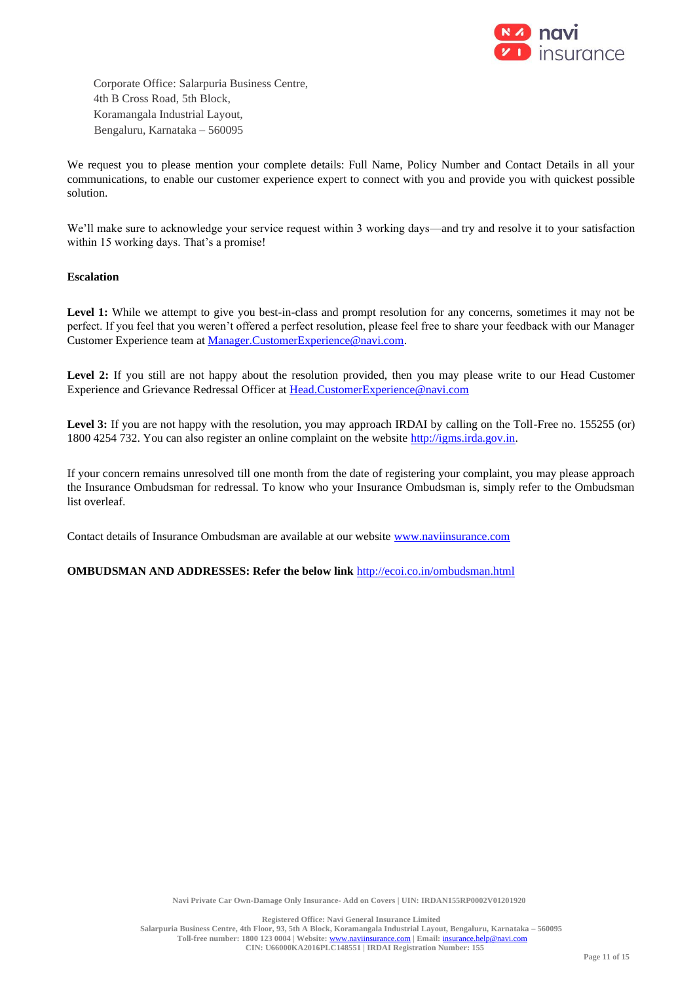

Corporate Office: Salarpuria Business Centre, 4th B Cross Road, 5th Block, Koramangala Industrial Layout, Bengaluru, Karnataka – 560095

We request you to please mention your complete details: Full Name, Policy Number and Contact Details in all your communications, to enable our customer experience expert to connect with you and provide you with quickest possible solution.

We'll make sure to acknowledge your service request within 3 working days—and try and resolve it to your satisfaction within 15 working days. That's a promise!

### **Escalation**

Level 1: While we attempt to give you best-in-class and prompt resolution for any concerns, sometimes it may not be perfect. If you feel that you weren't offered a perfect resolution, please feel free to share your feedback with our Manager Customer Experience team at [Manager.CustomerExperience@navi.com.](mailto:Manager.CustomerExperience@navi.com)

**Level 2:** If you still are not happy about the resolution provided, then you may please write to our Head Customer Experience and Grievance Redressal Officer at [Head.CustomerExperience@navi.com](mailto:Head.CustomerExperience@navi.com)

Level 3: If you are not happy with the resolution, you may approach IRDAI by calling on the Toll-Free no. 155255 (or) 1800 4254 732. You can also register an online complaint on the website [http://igms.irda.gov.in.](http://igms.irda.gov.in/)

If your concern remains unresolved till one month from the date of registering your complaint, you may please approach the Insurance Ombudsman for redressal. To know who your Insurance Ombudsman is, simply refer to the Ombudsman list overleaf.

Contact details of Insurance Ombudsman are available at our website [www.naviinsurance.com](http://www.naviinsurance.com/)

**OMBUDSMAN AND ADDRESSES: Refer the below link** <http://ecoi.co.in/ombudsman.html>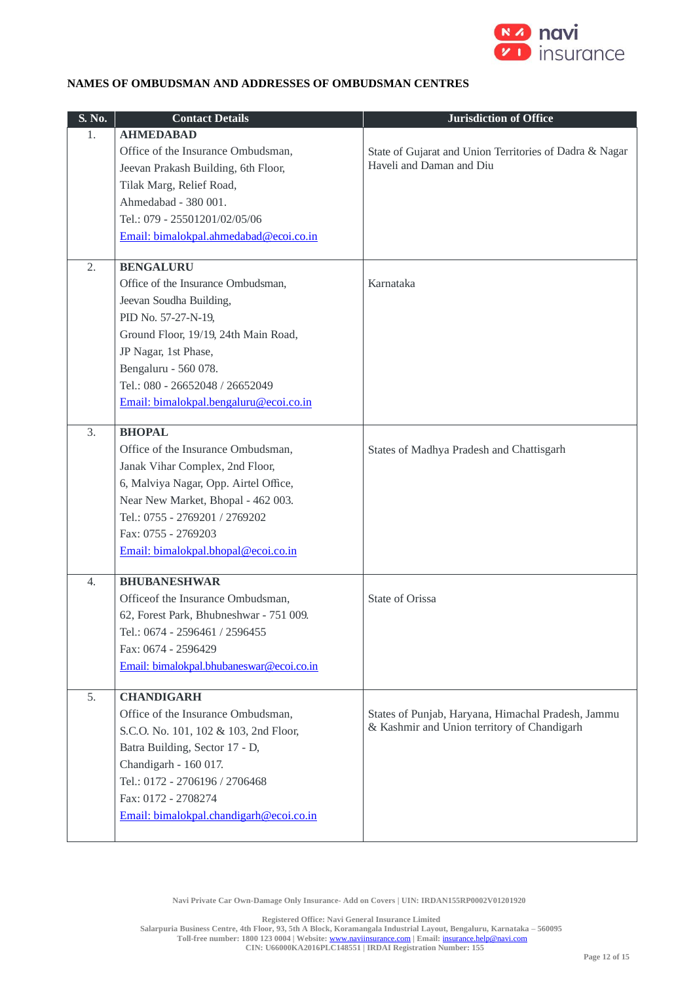

## **NAMES OF OMBUDSMAN AND ADDRESSES OF OMBUDSMAN CENTRES**

| S. No. | <b>Contact Details</b>                   | <b>Jurisdiction of Office</b>                           |
|--------|------------------------------------------|---------------------------------------------------------|
| 1.     | <b>AHMEDABAD</b>                         |                                                         |
|        | Office of the Insurance Ombudsman,       | State of Gujarat and Union Territories of Dadra & Nagar |
|        | Jeevan Prakash Building, 6th Floor,      | Haveli and Daman and Diu                                |
|        | Tilak Marg, Relief Road,                 |                                                         |
|        | Ahmedabad - 380 001.                     |                                                         |
|        | Tel.: 079 - 25501201/02/05/06            |                                                         |
|        | Email: bimalokpal.ahmedabad@ecoi.co.in   |                                                         |
|        |                                          |                                                         |
| 2.     | <b>BENGALURU</b>                         |                                                         |
|        | Office of the Insurance Ombudsman,       | Karnataka                                               |
|        | Jeevan Soudha Building,                  |                                                         |
|        | PID No. 57-27-N-19,                      |                                                         |
|        | Ground Floor, 19/19, 24th Main Road,     |                                                         |
|        | JP Nagar, 1st Phase,                     |                                                         |
|        | Bengaluru - 560 078.                     |                                                         |
|        | Tel.: 080 - 26652048 / 26652049          |                                                         |
|        | Email: bimalokpal.bengaluru@ecoi.co.in   |                                                         |
|        |                                          |                                                         |
| 3.     | <b>BHOPAL</b>                            |                                                         |
|        | Office of the Insurance Ombudsman,       | States of Madhya Pradesh and Chattisgarh                |
|        | Janak Vihar Complex, 2nd Floor,          |                                                         |
|        | 6, Malviya Nagar, Opp. Airtel Office,    |                                                         |
|        | Near New Market, Bhopal - 462 003.       |                                                         |
|        | Tel.: 0755 - 2769201 / 2769202           |                                                         |
|        | Fax: 0755 - 2769203                      |                                                         |
|        | Email: bimalokpal.bhopal@ecoi.co.in      |                                                         |
| 4.     | <b>BHUBANESHWAR</b>                      |                                                         |
|        | Officeof the Insurance Ombudsman,        | State of Orissa                                         |
|        | 62, Forest Park, Bhubneshwar - 751 009.  |                                                         |
|        | Tel.: 0674 - 2596461 / 2596455           |                                                         |
|        | Fax: 0674 - 2596429                      |                                                         |
|        | Email: bimalokpal.bhubaneswar@ecoi.co.in |                                                         |
|        |                                          |                                                         |
| 5.     | <b>CHANDIGARH</b>                        |                                                         |
|        | Office of the Insurance Ombudsman,       | States of Punjab, Haryana, Himachal Pradesh, Jammu      |
|        | S.C.O. No. 101, 102 & 103, 2nd Floor,    | & Kashmir and Union territory of Chandigarh             |
|        | Batra Building, Sector 17 - D,           |                                                         |
|        | Chandigarh - 160 017.                    |                                                         |
|        | Tel.: 0172 - 2706196 / 2706468           |                                                         |
|        | Fax: 0172 - 2708274                      |                                                         |
|        | Email: bimalokpal.chandigarh@ecoi.co.in  |                                                         |
|        |                                          |                                                         |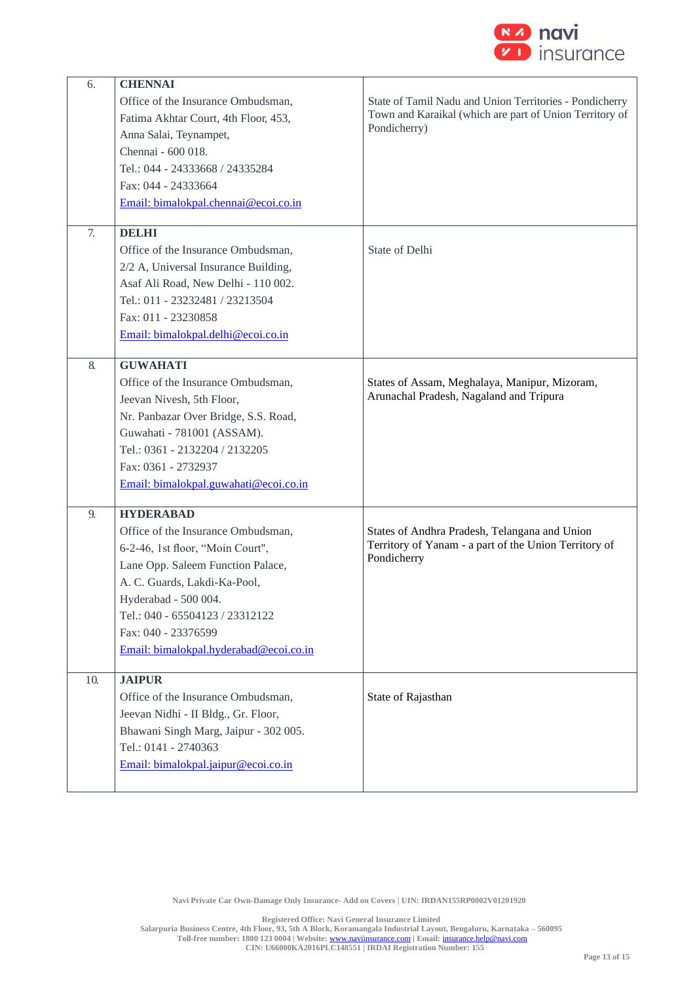

| 6.  | <b>CHENNAI</b>                         |                                                         |
|-----|----------------------------------------|---------------------------------------------------------|
|     | Office of the Insurance Ombudsman,     | State of Tamil Nadu and Union Territories - Pondicherry |
|     | Fatima Akhtar Court, 4th Floor, 453,   | Town and Karaikal (which are part of Union Territory of |
|     | Anna Salai, Teynampet,                 | Pondicherry)                                            |
|     | Chennai - 600 018.                     |                                                         |
|     | Tel.: 044 - 24333668 / 24335284        |                                                         |
|     | Fax: 044 - 24333664                    |                                                         |
|     | Email: bimalokpal.chennai@ecoi.co.in   |                                                         |
|     |                                        |                                                         |
| 7.  | <b>DELHI</b>                           |                                                         |
|     | Office of the Insurance Ombudsman,     | State of Delhi                                          |
|     | 2/2 A, Universal Insurance Building,   |                                                         |
|     | Asaf Ali Road, New Delhi - 110 002.    |                                                         |
|     | Tel.: 011 - 23232481 / 23213504        |                                                         |
|     | Fax: 011 - 23230858                    |                                                         |
|     | Email: bimalokpal.delhi@ecoi.co.in     |                                                         |
|     |                                        |                                                         |
| 8.  | <b>GUWAHATI</b>                        |                                                         |
|     | Office of the Insurance Ombudsman,     | States of Assam, Meghalaya, Manipur, Mizoram,           |
|     | Jeevan Nivesh, 5th Floor,              | Arunachal Pradesh, Nagaland and Tripura                 |
|     | Nr. Panbazar Over Bridge, S.S. Road,   |                                                         |
|     | Guwahati - 781001 (ASSAM).             |                                                         |
|     | Tel.: 0361 - 2132204 / 2132205         |                                                         |
|     | Fax: 0361 - 2732937                    |                                                         |
|     | Email: bimalokpal.guwahati@ecoi.co.in  |                                                         |
|     |                                        |                                                         |
| 9.  | <b>HYDERABAD</b>                       |                                                         |
|     | Office of the Insurance Ombudsman,     | States of Andhra Pradesh, Telangana and Union           |
|     | 6-2-46, 1st floor, "Moin Court",       | Territory of Yanam - a part of the Union Territory of   |
|     | Lane Opp. Saleem Function Palace,      | Pondicherry                                             |
|     | A. C. Guards, Lakdi-Ka-Pool,           |                                                         |
|     | Hyderabad - 500 004.                   |                                                         |
|     | Tel.: 040 - 65504123 / 23312122        |                                                         |
|     | Fax: 040 - 23376599                    |                                                         |
|     | Email: bimalokpal.hyderabad@ecoi.co.in |                                                         |
|     |                                        |                                                         |
| 10. | <b>JAIPUR</b>                          |                                                         |
|     | Office of the Insurance Ombudsman,     | State of Rajasthan                                      |
|     | Jeevan Nidhi - II Bldg., Gr. Floor,    |                                                         |
|     | Bhawani Singh Marg, Jaipur - 302 005.  |                                                         |
|     | Tel.: 0141 - 2740363                   |                                                         |
|     | Email: bimalokpal.jaipur@ecoi.co.in    |                                                         |
|     |                                        |                                                         |
|     |                                        |                                                         |

**Navi Private Car Own-Damage Only Insurance- Add on Covers | UIN: IRDAN155RP0002V01201920**

**Registered Office: Navi General Insurance Limited Salarpuria Business Centre, 4th Floor, 93, 5th A Block, Koramangala Industrial Layout, Bengaluru, Karnataka – 560095 Toll-free number: 1800 123 0004 | Website:** [www.naviinsurance.com](http://www.naviinsurance.com/) **| Email:** [insurance.help@navi.com](mailto:insurance.help@navi.com) **CIN: U66000KA2016PLC148551 | IRDAI Registration Number: 155**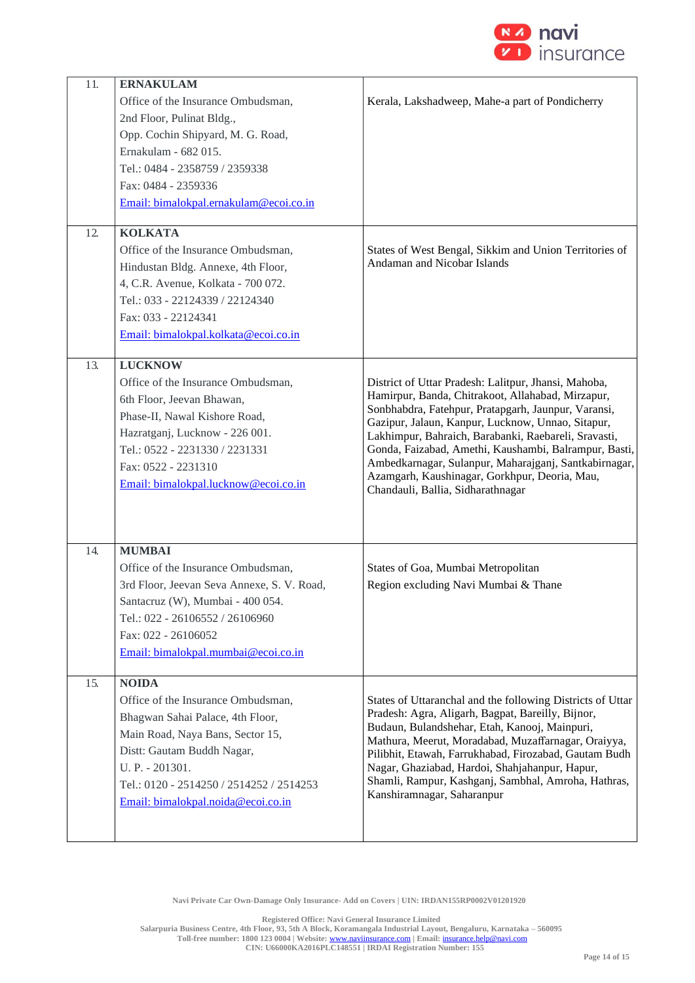

| 11. | <b>ERNAKULAM</b>                           |                                                                                                          |
|-----|--------------------------------------------|----------------------------------------------------------------------------------------------------------|
|     | Office of the Insurance Ombudsman,         | Kerala, Lakshadweep, Mahe-a part of Pondicherry                                                          |
|     | 2nd Floor, Pulinat Bldg.,                  |                                                                                                          |
|     | Opp. Cochin Shipyard, M. G. Road,          |                                                                                                          |
|     | Ernakulam - 682 015.                       |                                                                                                          |
|     | Tel.: 0484 - 2358759 / 2359338             |                                                                                                          |
|     | Fax: 0484 - 2359336                        |                                                                                                          |
|     | Email: bimalokpal.ernakulam@ecoi.co.in     |                                                                                                          |
|     |                                            |                                                                                                          |
| 12  | <b>KOLKATA</b>                             |                                                                                                          |
|     | Office of the Insurance Ombudsman,         | States of West Bengal, Sikkim and Union Territories of                                                   |
|     | Hindustan Bldg. Annexe, 4th Floor,         | Andaman and Nicobar Islands                                                                              |
|     | 4, C.R. Avenue, Kolkata - 700 072.         |                                                                                                          |
|     | Tel.: 033 - 22124339 / 22124340            |                                                                                                          |
|     | Fax: 033 - 22124341                        |                                                                                                          |
|     | Email: bimalokpal.kolkata@ecoi.co.in       |                                                                                                          |
|     |                                            |                                                                                                          |
| 13. | <b>LUCKNOW</b>                             |                                                                                                          |
|     | Office of the Insurance Ombudsman,         | District of Uttar Pradesh: Lalitpur, Jhansi, Mahoba,                                                     |
|     | 6th Floor, Jeevan Bhawan,                  | Hamirpur, Banda, Chitrakoot, Allahabad, Mirzapur,                                                        |
|     | Phase-II, Nawal Kishore Road,              | Sonbhabdra, Fatehpur, Pratapgarh, Jaunpur, Varansi,<br>Gazipur, Jalaun, Kanpur, Lucknow, Unnao, Sitapur, |
|     | Hazratganj, Lucknow - 226 001.             | Lakhimpur, Bahraich, Barabanki, Raebareli, Sravasti,                                                     |
|     | Tel.: 0522 - 2231330 / 2231331             | Gonda, Faizabad, Amethi, Kaushambi, Balrampur, Basti,                                                    |
|     | Fax: 0522 - 2231310                        | Ambedkarnagar, Sulanpur, Maharajganj, Santkabirnagar,                                                    |
|     | Email: bimalokpal.lucknow@ecoi.co.in       | Azamgarh, Kaushinagar, Gorkhpur, Deoria, Mau,                                                            |
|     |                                            | Chandauli, Ballia, Sidharathnagar                                                                        |
|     |                                            |                                                                                                          |
|     |                                            |                                                                                                          |
| 14. | <b>MUMBAI</b>                              |                                                                                                          |
|     | Office of the Insurance Ombudsman,         | States of Goa, Mumbai Metropolitan                                                                       |
|     | 3rd Floor, Jeevan Seva Annexe, S. V. Road, | Region excluding Navi Mumbai & Thane                                                                     |
|     | Santacruz (W), Mumbai - 400 054.           |                                                                                                          |
|     | Tel.: 022 - 26106552 / 26106960            |                                                                                                          |
|     | Fax: 022 - 26106052                        |                                                                                                          |
|     | Email: bimalokpal.mumbai@ecoi.co.in        |                                                                                                          |
|     |                                            |                                                                                                          |
| 15. | <b>NOIDA</b>                               |                                                                                                          |
|     | Office of the Insurance Ombudsman,         | States of Uttaranchal and the following Districts of Uttar                                               |
|     | Bhagwan Sahai Palace, 4th Floor,           | Pradesh: Agra, Aligarh, Bagpat, Bareilly, Bijnor,                                                        |
|     | Main Road, Naya Bans, Sector 15,           | Budaun, Bulandshehar, Etah, Kanooj, Mainpuri,<br>Mathura, Meerut, Moradabad, Muzaffarnagar, Oraiyya,     |
|     | Distt: Gautam Buddh Nagar,                 | Pilibhit, Etawah, Farrukhabad, Firozabad, Gautam Budh                                                    |
|     | U. P. - 201301.                            | Nagar, Ghaziabad, Hardoi, Shahjahanpur, Hapur,                                                           |
|     | Tel.: 0120 - 2514250 / 2514252 / 2514253   | Shamli, Rampur, Kashganj, Sambhal, Amroha, Hathras,                                                      |
|     | Email: bimalokpal.noida@ecoi.co.in         | Kanshiramnagar, Saharanpur                                                                               |
|     |                                            |                                                                                                          |
|     |                                            |                                                                                                          |